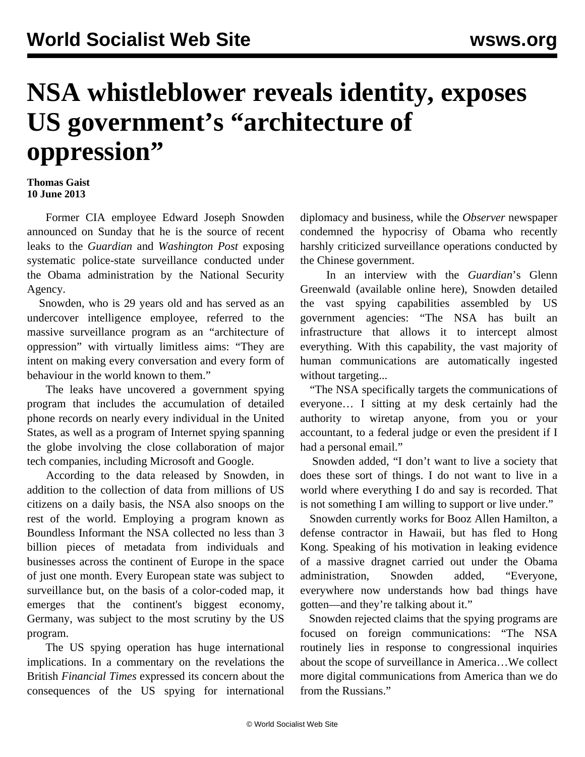## **NSA whistleblower reveals identity, exposes US government's "architecture of oppression"**

## **Thomas Gaist 10 June 2013**

 Former CIA employee Edward Joseph Snowden announced on Sunday that he is the source of recent leaks to the *Guardian* and *Washington Post* exposing systematic police-state surveillance conducted under the Obama administration by the National Security Agency.

 Snowden, who is 29 years old and has served as an undercover intelligence employee, referred to the massive surveillance program as an "architecture of oppression" with virtually limitless aims: "They are intent on making every conversation and every form of behaviour in the world known to them."

 The leaks have uncovered a government spying program that includes the accumulation of detailed phone records on nearly every individual in the United States, as well as a program of Internet spying spanning the globe involving the close collaboration of major tech companies, including Microsoft and Google.

 According to the data released by Snowden, in addition to the collection of data from millions of US citizens on a daily basis, the NSA also snoops on the rest of the world. Employing a program known as Boundless Informant the NSA collected no less than 3 billion pieces of metadata from individuals and businesses across the continent of Europe in the space of just one month. Every European state was subject to surveillance but, on the basis of a color-coded map, it emerges that the continent's biggest economy, Germany, was subject to the most scrutiny by the US program.

 The US spying operation has huge international implications. In a commentary on the revelations the British *Financial Times* expressed its concern about the consequences of the US spying for international diplomacy and business, while the *Observer* newspaper condemned the hypocrisy of Obama who recently harshly criticized surveillance operations conducted by the Chinese government.

 In an interview with the *Guardian*'s Glenn Greenwald (available online [here](http://www.guardian.co.uk/world/2013/jun/09/nsa-whistleblower-edward-snowden-why)), Snowden detailed the vast spying capabilities assembled by US government agencies: "The NSA has built an infrastructure that allows it to intercept almost everything. With this capability, the vast majority of human communications are automatically ingested without targeting...

 "The NSA specifically targets the communications of everyone… I sitting at my desk certainly had the authority to wiretap anyone, from you or your accountant, to a federal judge or even the president if I had a personal email."

 Snowden added, "I don't want to live a society that does these sort of things. I do not want to live in a world where everything I do and say is recorded. That is not something I am willing to support or live under."

 Snowden currently works for Booz Allen Hamilton, a defense contractor in Hawaii, but has fled to Hong Kong. Speaking of his motivation in leaking evidence of a massive dragnet carried out under the Obama administration, Snowden added, "Everyone, everywhere now understands how bad things have gotten—and they're talking about it."

 Snowden rejected claims that the spying programs are focused on foreign communications: "The NSA routinely lies in response to congressional inquiries about the scope of surveillance in America…We collect more digital communications from America than we do from the Russians."